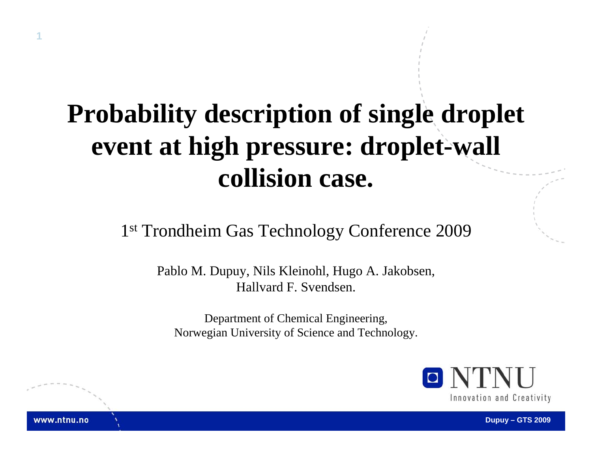#### **Probability description of single droplet event at high pressure: droplet-wall collision case.**

**1**

www.ntnu.no

1<sup>st</sup> Trondheim Gas Technology Conference 2009

Pablo M. Dupuy, Nils Kleinohl, Hugo A. Jakobsen, Hallvard F. Svendsen.

Department of Chemical Engineering, Norwegian University of Science and Technology.

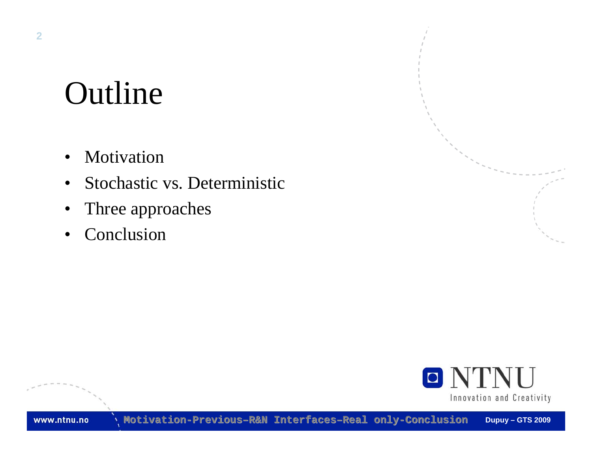# Outline

- Motivation
- •Stochastic vs. Deterministic
- •Three approaches
- •Conclusion

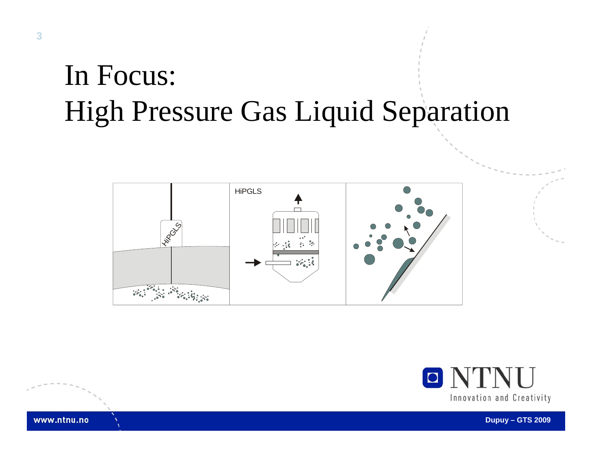# In Focus: High Pressure Gas Liquid Separation





**Dupuy – GTS 2009**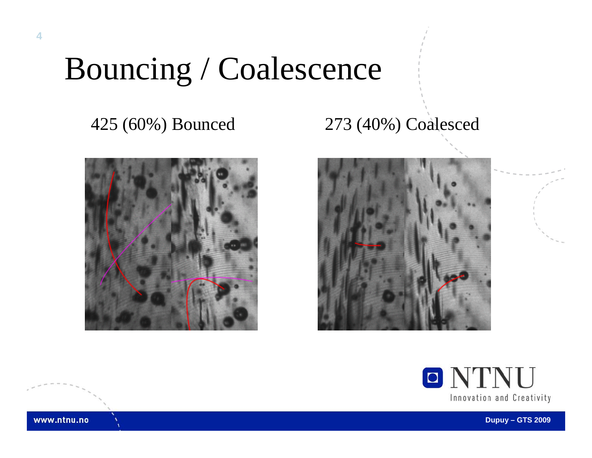# Bouncing / Coalescence



#### 425 (60%) Bounced 273 (40%) Coalesced





www.ntnu.no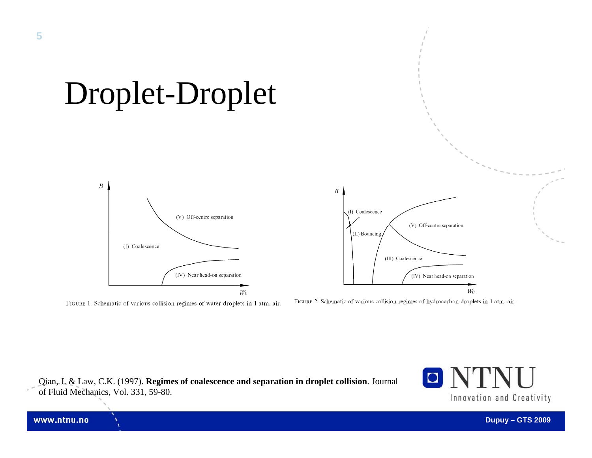

We

FIGURE 1. Schematic of various collision regimes of water droplets in 1 atm. air.

FIGURE 2. Schematic of various collision regimes of hydrocarbon droplets in 1 atm. air.

Qian, J. & Law, C.K. (1997). **Regimes of coalescence and separation in droplet collision**. Journal of Fluid Mechanics, Vol. 331, 59-80.



We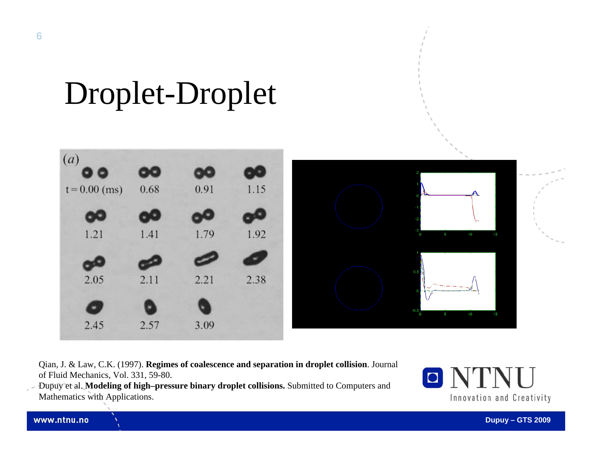# Droplet-Droplet



Qian, J. & Law, C.K. (1997). **Regimes of coalescence and separation in droplet collision**. Journal of Fluid Mechanics, Vol. 331, 59-80.

Dupuy et al. **Modeling of high–pressure binary droplet collisions.** Submitted to Computers and Mathematics with Applications.

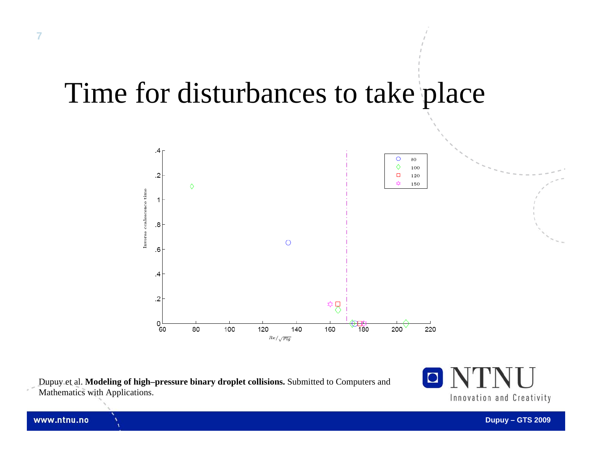#### Time for disturbances to take place



Dupuy et al. **Modeling of high–pressure binary droplet collisions.** Submitted to Computers and Mathematics with Applications.

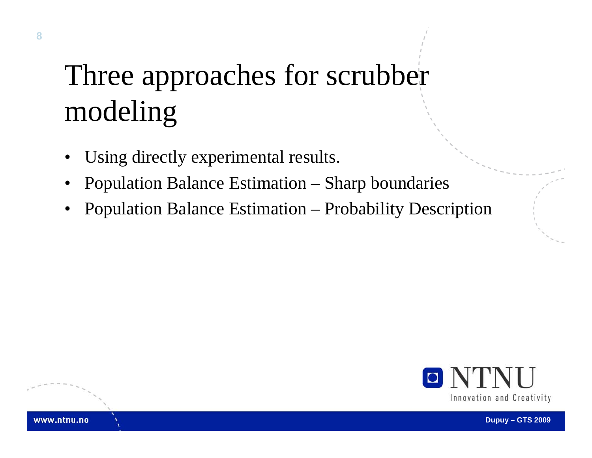# Three approaches for scrubber modeling

- •Using directly experimental results.
- •Population Balance Estimation – Sharp boundaries
- •Population Balance Estimation – Probability Description

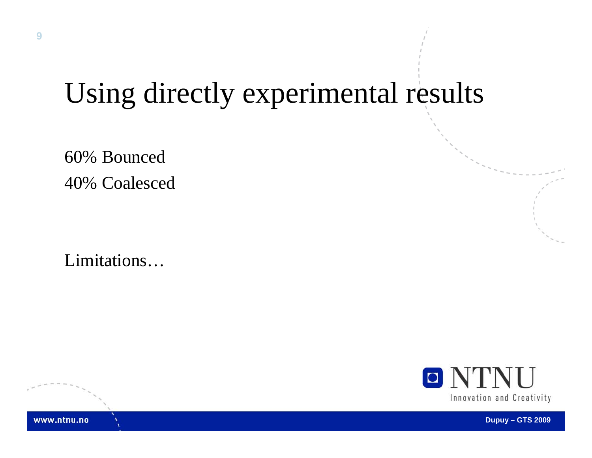## Using directly experimental results

60% Bounced 40% Coalesced

Limitations…

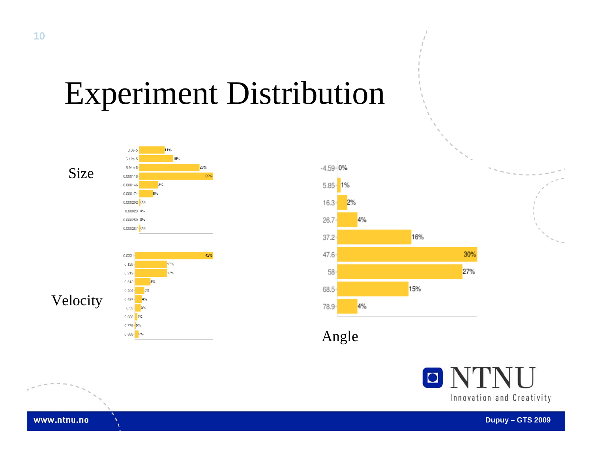# Experiment Distribution

Size









Angle

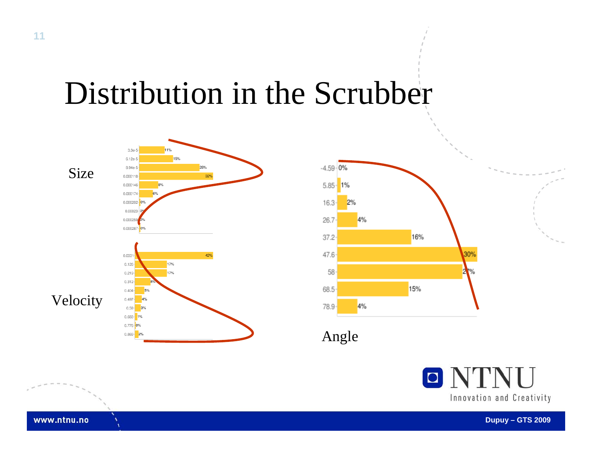## Distribution in the Scrubber





Angle



**Dupuy – GTS 2009**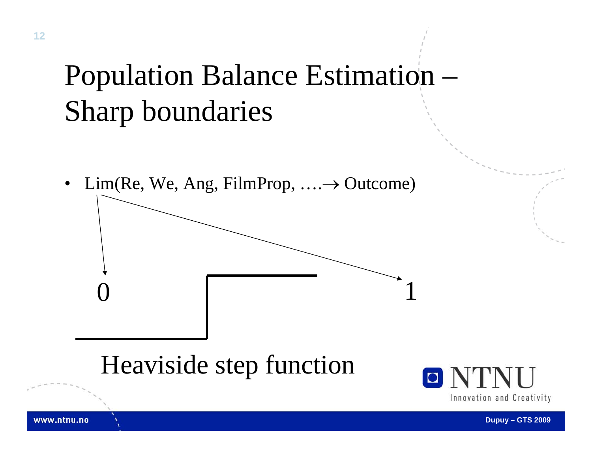# Population Balance Estimation – Sharp boundaries

 $\bullet$  $Lim(Re, We, Ang, FilmProp, \ldots \rightarrow Outcome)$ 

 $0 \qquad \qquad 1$ 

#### Heaviside step function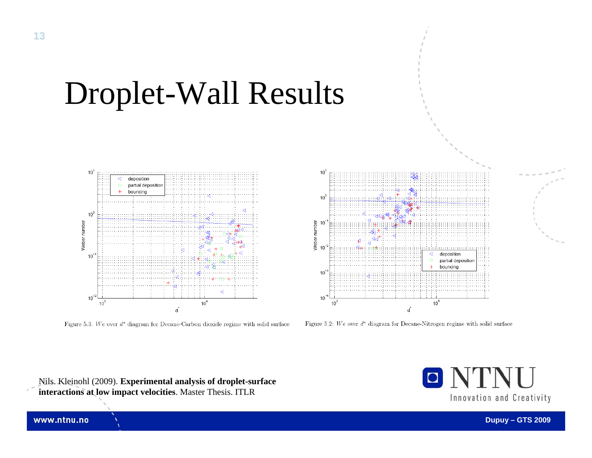

Droplet-Wall Results

Figure 5.3: We over  $d^*$  diagram for Decane-Carbon dioxide regime with solid surface



Figure 5.2: We over  $d^*$  diagram for Decane-Nitrogen regime with solid surface

Nils. Kleinohl (2009). **Experimental analysis of droplet-surface interactions at low impact velocities**. Master Thesis. ITLR

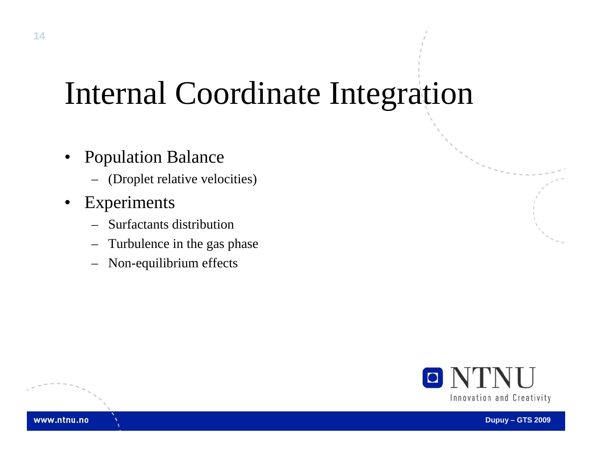# Internal Coordinate Integration

- • Population Balance
	- (Droplet relative velocities)
- $\bullet$  Experiments
	- Surfactants distribution
	- Turbulence in the gas phase
	- Non-equilibrium effects

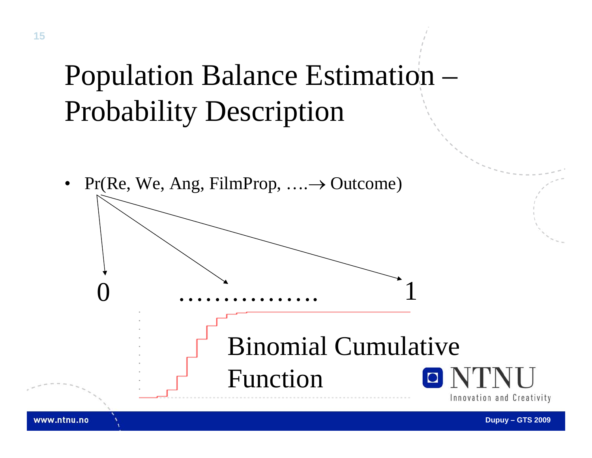# Population Balance Estimation – Probability Description

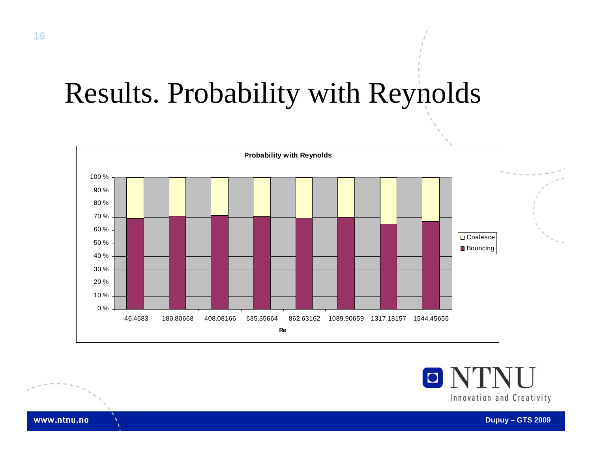# Results. Probability with Reynolds



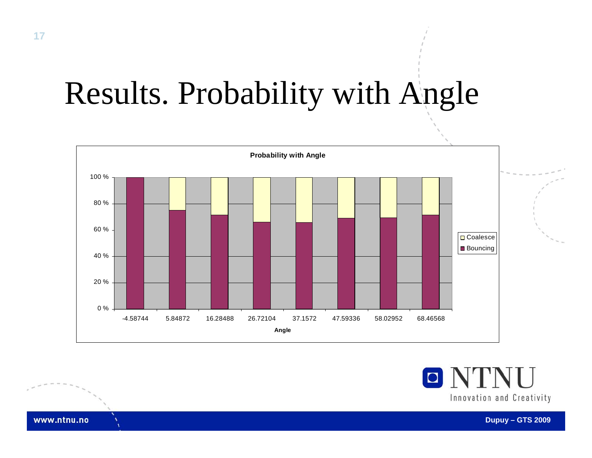# Results. Probability with Angle



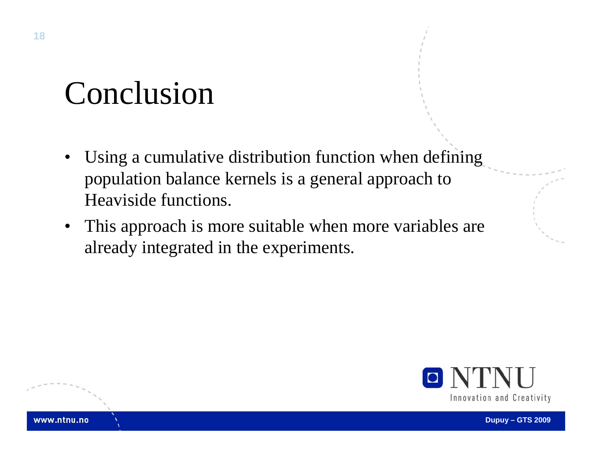# Conclusion

- • Using a cumulative distribution function when defining population balance kernels is a general approach to Heaviside functions.
- $\bullet$  This approach is more suitable when more variables are already integrated in the experiments.